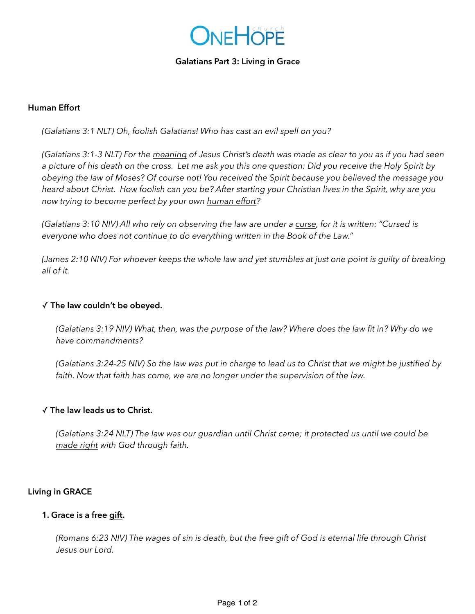

### **Galatians Part 3: Living in Grace**

### **Human Effort**

*(Galatians 3:1 NLT) Oh, foolish Galatians! Who has cast an evil spell on you?* 

*(Galatians 3:1-3 NLT) For the meaning of Jesus Christ's death was made as clear to you as if you had seen a picture of his death on the cross. Let me ask you this one question: Did you receive the Holy Spirit by obeying the law of Moses? Of course not! You received the Spirit because you believed the message you heard about Christ. How foolish can you be? After starting your Christian lives in the Spirit, why are you now trying to become perfect by your own human effort?*

*(Galatians 3:10 NIV) All who rely on observing the law are under a curse, for it is written: "Cursed is everyone who does not continue to do everything written in the Book of the Law."*

*(James 2:10 NIV) For whoever keeps the whole law and yet stumbles at just one point is guilty of breaking all of it.* 

### ✓ **The law couldn't be obeyed.**

*(Galatians 3:19 NIV) What, then, was the purpose of the law? Where does the law fit in? Why do we have commandments?*

*(Galatians 3:24-25 NIV) So the law was put in charge to lead us to Christ that we might be justified by faith. Now that faith has come, we are no longer under the supervision of the law.* 

### ✓ **The law leads us to Christ.**

*(Galatians 3:24 NLT) The law was our guardian until Christ came; it protected us until we could be made right with God through faith.* 

### **Living in GRACE**

### **1. Grace is a free gift.**

*(Romans 6:23 NIV) The wages of sin is death, but the free gift of God is eternal life through Christ Jesus our Lord.*